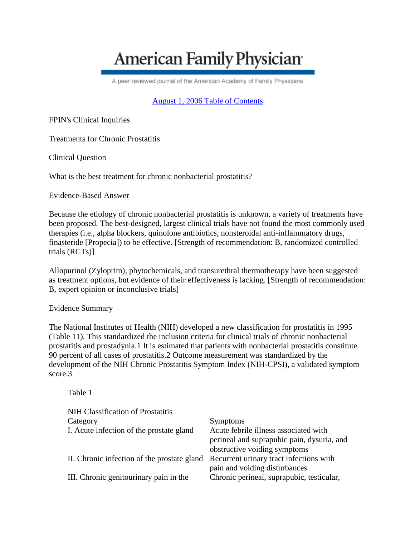## **American Family Physician**

A peer reviewed journal of the American Academy of Family Physicians

[August 1, 2006 Table of Contents](http://www.aafp.org/afp/20060801/)

FPIN's Clinical Inquiries

Treatments for Chronic Prostatitis

Clinical Question

What is the best treatment for chronic nonbacterial prostatitis?

Evidence-Based Answer

Because the etiology of chronic nonbacterial prostatitis is unknown, a variety of treatments have been proposed. The best-designed, largest clinical trials have not found the most commonly used therapies (i.e., alpha blockers, quinolone antibiotics, nonsteroidal anti-inflammatory drugs, finasteride [Propecia]) to be effective. [Strength of recommendation: B, randomized controlled trials (RCTs)]

Allopurinol (Zyloprim), phytochemicals, and transurethral thermotherapy have been suggested as treatment options, but evidence of their effectiveness is lacking. [Strength of recommendation: B, expert opinion or inconclusive trials]

Evidence Summary

The National Institutes of Health (NIH) developed a new classification for prostatitis in 1995 (Table 11). This standardized the inclusion criteria for clinical trials of chronic nonbacterial prostatitis and prostadynia.1 It is estimated that patients with nonbacterial prostatitis constitute 90 percent of all cases of prostatitis.2 Outcome measurement was standardized by the development of the NIH Chronic Prostatitis Symptom Index (NIH-CPSI), a validated symptom score.3

Table 1

| NIH Classification of Prostatitis           |                                            |
|---------------------------------------------|--------------------------------------------|
| Category                                    | <b>Symptoms</b>                            |
| I. Acute infection of the prostate gland    | Acute febrile illness associated with      |
|                                             | perineal and suprapubic pain, dysuria, and |
|                                             | obstructive voiding symptoms               |
| II. Chronic infection of the prostate gland | Recurrent urinary tract infections with    |
|                                             | pain and voiding disturbances              |
| III. Chronic genitourinary pain in the      | Chronic perineal, suprapubic, testicular,  |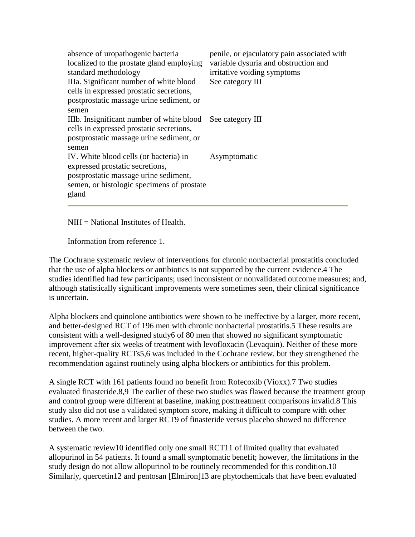| absence of uropathogenic bacteria<br>localized to the prostate gland employing<br>standard methodology<br>IIIa. Significant number of white blood<br>cells in expressed prostatic secretions,<br>postprostatic massage urine sediment, or<br>semen | penile, or ejaculatory pain associated with<br>variable dysuria and obstruction and<br>irritative voiding symptoms<br>See category III |
|----------------------------------------------------------------------------------------------------------------------------------------------------------------------------------------------------------------------------------------------------|----------------------------------------------------------------------------------------------------------------------------------------|
| IIIb. Insignificant number of white blood<br>cells in expressed prostatic secretions,<br>postprostatic massage urine sediment, or<br>semen                                                                                                         | See category III                                                                                                                       |
| IV. White blood cells (or bacteria) in<br>expressed prostatic secretions,<br>postprostatic massage urine sediment,<br>semen, or histologic specimens of prostate<br>gland                                                                          | Asymptomatic                                                                                                                           |

NIH = National Institutes of Health.

Information from reference 1.

The Cochrane systematic review of interventions for chronic nonbacterial prostatitis concluded that the use of alpha blockers or antibiotics is not supported by the current evidence.4 The studies identified had few participants; used inconsistent or nonvalidated outcome measures; and, although statistically significant improvements were sometimes seen, their clinical significance is uncertain.

Alpha blockers and quinolone antibiotics were shown to be ineffective by a larger, more recent, and better-designed RCT of 196 men with chronic nonbacterial prostatitis.5 These results are consistent with a well-designed study6 of 80 men that showed no significant symptomatic improvement after six weeks of treatment with levofloxacin (Levaquin). Neither of these more recent, higher-quality RCTs5,6 was included in the Cochrane review, but they strengthened the recommendation against routinely using alpha blockers or antibiotics for this problem.

A single RCT with 161 patients found no benefit from Rofecoxib (Vioxx).7 Two studies evaluated finasteride.8,9 The earlier of these two studies was flawed because the treatment group and control group were different at baseline, making posttreatment comparisons invalid.8 This study also did not use a validated symptom score, making it difficult to compare with other studies. A more recent and larger RCT9 of finasteride versus placebo showed no difference between the two.

A systematic review10 identified only one small RCT11 of limited quality that evaluated allopurinol in 54 patients. It found a small symptomatic benefit; however, the limitations in the study design do not allow allopurinol to be routinely recommended for this condition.10 Similarly, quercetin12 and pentosan [Elmiron]13 are phytochemicals that have been evaluated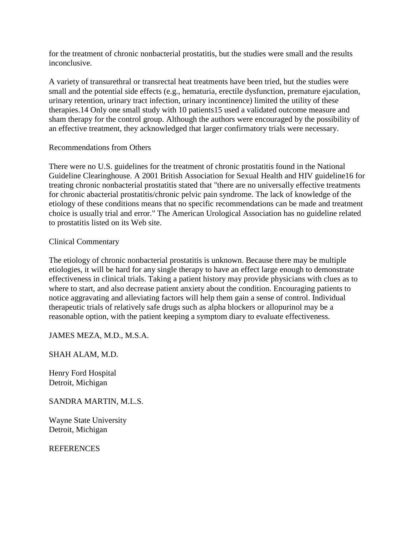for the treatment of chronic nonbacterial prostatitis, but the studies were small and the results inconclusive.

A variety of transurethral or transrectal heat treatments have been tried, but the studies were small and the potential side effects (e.g., hematuria, erectile dysfunction, premature ejaculation, urinary retention, urinary tract infection, urinary incontinence) limited the utility of these therapies.14 Only one small study with 10 patients15 used a validated outcome measure and sham therapy for the control group. Although the authors were encouraged by the possibility of an effective treatment, they acknowledged that larger confirmatory trials were necessary.

## Recommendations from Others

There were no U.S. guidelines for the treatment of chronic prostatitis found in the National Guideline Clearinghouse. A 2001 British Association for Sexual Health and HIV guideline16 for treating chronic nonbacterial prostatitis stated that "there are no universally effective treatments for chronic abacterial prostatitis/chronic pelvic pain syndrome. The lack of knowledge of the etiology of these conditions means that no specific recommendations can be made and treatment choice is usually trial and error." The American Urological Association has no guideline related to prostatitis listed on its Web site.

Clinical Commentary

The etiology of chronic nonbacterial prostatitis is unknown. Because there may be multiple etiologies, it will be hard for any single therapy to have an effect large enough to demonstrate effectiveness in clinical trials. Taking a patient history may provide physicians with clues as to where to start, and also decrease patient anxiety about the condition. Encouraging patients to notice aggravating and alleviating factors will help them gain a sense of control. Individual therapeutic trials of relatively safe drugs such as alpha blockers or allopurinol may be a reasonable option, with the patient keeping a symptom diary to evaluate effectiveness.

JAMES MEZA, M.D., M.S.A.

SHAH ALAM, M.D.

Henry Ford Hospital Detroit, Michigan

SANDRA MARTIN, M.L.S.

Wayne State University Detroit, Michigan

**REFERENCES**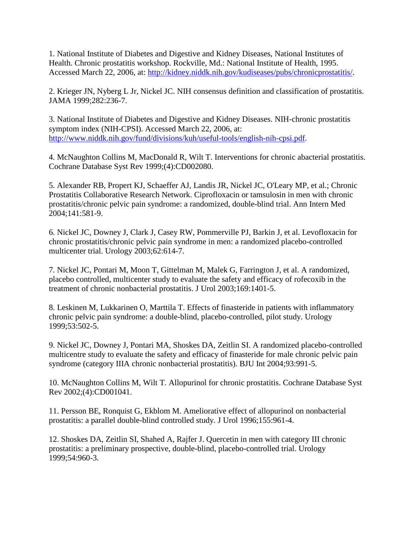1. National Institute of Diabetes and Digestive and Kidney Diseases, National Institutes of Health. Chronic prostatitis workshop. Rockville, Md.: National Institute of Health, 1995. Accessed March 22, 2006, at[: http://kidney.niddk.nih.gov/kudiseases/pubs/chronicprostatitis/.](http://kidney.niddk.nih.gov/kudiseases/pubs/chronicprostatitis/)

2. Krieger JN, Nyberg L Jr, Nickel JC. NIH consensus definition and classification of prostatitis. JAMA 1999;282:236-7.

3. National Institute of Diabetes and Digestive and Kidney Diseases. NIH-chronic prostatitis symptom index (NIH-CPSI). Accessed March 22, 2006, at: [http://www.niddk.nih.gov/fund/divisions/kuh/useful-tools/english-nih-cpsi.pdf.](http://www.niddk.nih.gov/fund/divisions/kuh/useful-tools/english-nih-cpsi.pdf)

4. McNaughton Collins M, MacDonald R, Wilt T. Interventions for chronic abacterial prostatitis. Cochrane Database Syst Rev 1999;(4):CD002080.

5. Alexander RB, Propert KJ, Schaeffer AJ, Landis JR, Nickel JC, O'Leary MP, et al.; Chronic Prostatitis Collaborative Research Network. Ciprofloxacin or tamsulosin in men with chronic prostatitis/chronic pelvic pain syndrome: a randomized, double-blind trial. Ann Intern Med 2004;141:581-9.

6. Nickel JC, Downey J, Clark J, Casey RW, Pommerville PJ, Barkin J, et al. Levofloxacin for chronic prostatitis/chronic pelvic pain syndrome in men: a randomized placebo-controlled multicenter trial. Urology 2003;62:614-7.

7. Nickel JC, Pontari M, Moon T, Gittelman M, Malek G, Farrington J, et al. A randomized, placebo controlled, multicenter study to evaluate the safety and efficacy of rofecoxib in the treatment of chronic nonbacterial prostatitis. J Urol 2003;169:1401-5.

8. Leskinen M, Lukkarinen O, Marttila T. Effects of finasteride in patients with inflammatory chronic pelvic pain syndrome: a double-blind, placebo-controlled, pilot study. Urology 1999;53:502-5.

9. Nickel JC, Downey J, Pontari MA, Shoskes DA, Zeitlin SI. A randomized placebo-controlled multicentre study to evaluate the safety and efficacy of finasteride for male chronic pelvic pain syndrome (category IIIA chronic nonbacterial prostatitis). BJU Int 2004;93:991-5.

10. McNaughton Collins M, Wilt T. Allopurinol for chronic prostatitis. Cochrane Database Syst Rev 2002;(4):CD001041.

11. Persson BE, Ronquist G, Ekblom M. Ameliorative effect of allopurinol on nonbacterial prostatitis: a parallel double-blind controlled study. J Urol 1996;155:961-4.

12. Shoskes DA, Zeitlin SI, Shahed A, Rajfer J. Quercetin in men with category III chronic prostatitis: a preliminary prospective, double-blind, placebo-controlled trial. Urology 1999;54:960-3.